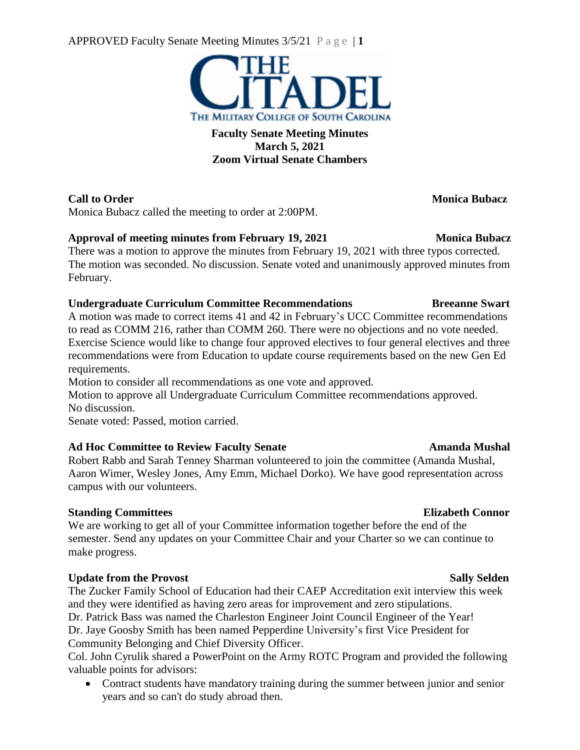APPROVED Faculty Senate Meeting Minutes 3/5/21 P a g e | **1**



## **Faculty Senate Meeting Minutes March 5, 2021 Zoom Virtual Senate Chambers**

# **Call to Order Monica Bubacz**

Monica Bubacz called the meeting to order at 2:00PM.

# **Approval of meeting minutes from February 19, 2021 Monica Bubacz**

There was a motion to approve the minutes from February 19, 2021 with three typos corrected. The motion was seconded. No discussion. Senate voted and unanimously approved minutes from February.

## **Undergraduate Curriculum Committee Recommendations Breeanne Swart**

A motion was made to correct items 41 and 42 in February's UCC Committee recommendations to read as COMM 216, rather than COMM 260. There were no objections and no vote needed. Exercise Science would like to change four approved electives to four general electives and three recommendations were from Education to update course requirements based on the new Gen Ed requirements.

Motion to consider all recommendations as one vote and approved.

Motion to approve all Undergraduate Curriculum Committee recommendations approved. No discussion.

Senate voted: Passed, motion carried.

# **Ad Hoc Committee to Review Faculty Senate Amanda Mushal**

Robert Rabb and Sarah Tenney Sharman volunteered to join the committee (Amanda Mushal, Aaron Wimer, Wesley Jones, Amy Emm, Michael Dorko). We have good representation across campus with our volunteers.

## **Standing Committees Elizabeth Connor**

We are working to get all of your Committee information together before the end of the semester. Send any updates on your Committee Chair and your Charter so we can continue to make progress.

# **Update** from the Provost Sally Selden

The Zucker Family School of Education had their CAEP Accreditation exit interview this week and they were identified as having zero areas for improvement and zero stipulations. Dr. Patrick Bass was named the Charleston Engineer Joint Council Engineer of the Year! Dr. Jaye Goosby Smith has been named Pepperdine University's first Vice President for Community Belonging and Chief Diversity Officer.

Col. John Cyrulik shared a PowerPoint on the Army ROTC Program and provided the following valuable points for advisors:

• Contract students have mandatory training during the summer between junior and senior years and so can't do study abroad then.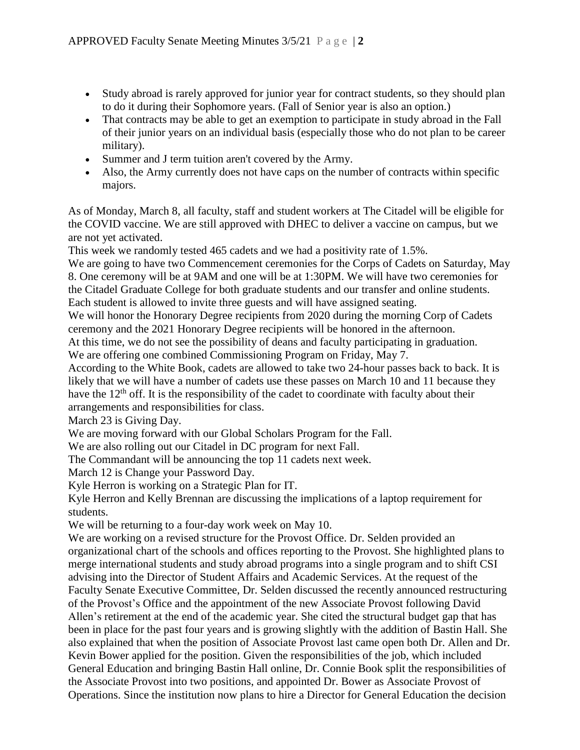- Study abroad is rarely approved for junior year for contract students, so they should plan to do it during their Sophomore years. (Fall of Senior year is also an option.)
- That contracts may be able to get an exemption to participate in study abroad in the Fall of their junior years on an individual basis (especially those who do not plan to be career military).
- Summer and J term tuition aren't covered by the Army.
- Also, the Army currently does not have caps on the number of contracts within specific majors.

As of Monday, March 8, all faculty, staff and student workers at The Citadel will be eligible for the COVID vaccine. We are still approved with DHEC to deliver a vaccine on campus, but we are not yet activated.

This week we randomly tested 465 cadets and we had a positivity rate of 1.5%.

We are going to have two Commencement ceremonies for the Corps of Cadets on Saturday, May 8. One ceremony will be at 9AM and one will be at 1:30PM. We will have two ceremonies for the Citadel Graduate College for both graduate students and our transfer and online students. Each student is allowed to invite three guests and will have assigned seating.

We will honor the Honorary Degree recipients from 2020 during the morning Corp of Cadets ceremony and the 2021 Honorary Degree recipients will be honored in the afternoon.

At this time, we do not see the possibility of deans and faculty participating in graduation. We are offering one combined Commissioning Program on Friday, May 7.

According to the White Book, cadets are allowed to take two 24-hour passes back to back. It is likely that we will have a number of cadets use these passes on March 10 and 11 because they have the  $12<sup>th</sup>$  off. It is the responsibility of the cadet to coordinate with faculty about their

arrangements and responsibilities for class.

March 23 is Giving Day.

We are moving forward with our Global Scholars Program for the Fall.

We are also rolling out our Citadel in DC program for next Fall.

The Commandant will be announcing the top 11 cadets next week.

March 12 is Change your Password Day.

Kyle Herron is working on a Strategic Plan for IT.

Kyle Herron and Kelly Brennan are discussing the implications of a laptop requirement for students.

We will be returning to a four-day work week on May 10.

We are working on a revised structure for the Provost Office. Dr. Selden provided an organizational chart of the schools and offices reporting to the Provost. She highlighted plans to merge international students and study abroad programs into a single program and to shift CSI advising into the Director of Student Affairs and Academic Services. At the request of the Faculty Senate Executive Committee, Dr. Selden discussed the recently announced restructuring of the Provost's Office and the appointment of the new Associate Provost following David Allen's retirement at the end of the academic year. She cited the structural budget gap that has been in place for the past four years and is growing slightly with the addition of Bastin Hall. She also explained that when the position of Associate Provost last came open both Dr. Allen and Dr. Kevin Bower applied for the position. Given the responsibilities of the job, which included General Education and bringing Bastin Hall online, Dr. Connie Book split the responsibilities of the Associate Provost into two positions, and appointed Dr. Bower as Associate Provost of Operations. Since the institution now plans to hire a Director for General Education the decision